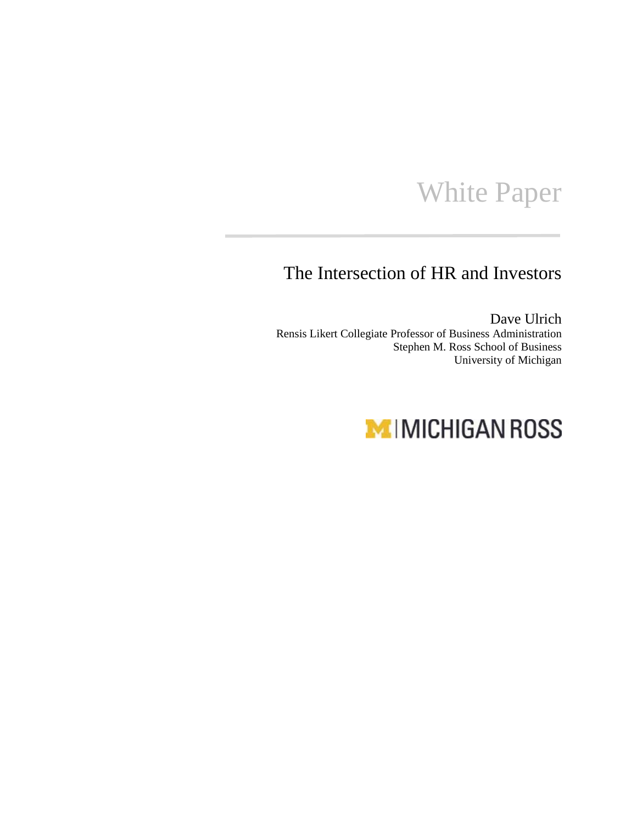## White Paper

## The Intersection of HR and Investors

Dave Ulrich Rensis Likert Collegiate Professor of Business Administration Stephen M. Ross School of Business University of Michigan

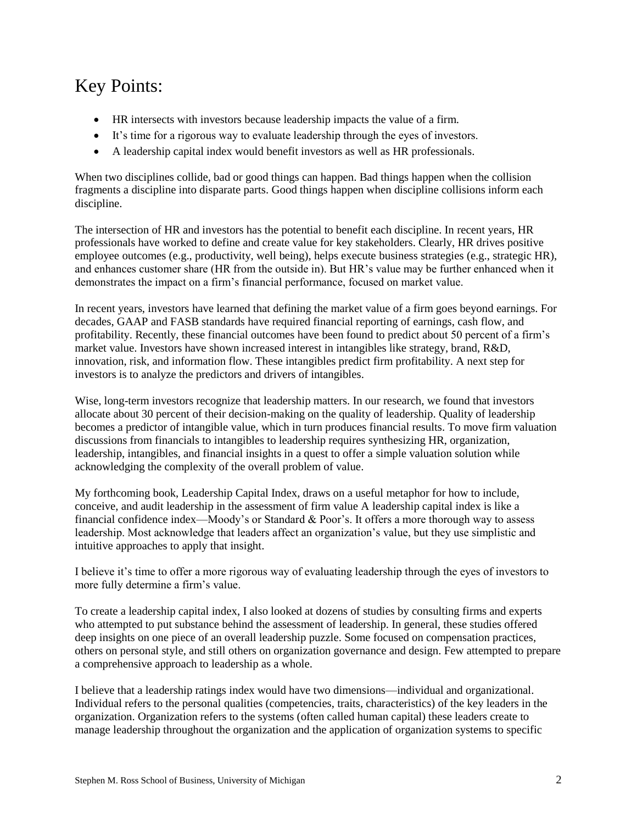## Key Points:

- HR intersects with investors because leadership impacts the value of a firm.
- It's time for a rigorous way to evaluate leadership through the eyes of investors.
- A leadership capital index would benefit investors as well as HR professionals.

When two disciplines collide, bad or good things can happen. Bad things happen when the collision fragments a discipline into disparate parts. Good things happen when discipline collisions inform each discipline.

The intersection of HR and investors has the potential to benefit each discipline. In recent years, HR professionals have worked to define and create value for key stakeholders. Clearly, HR drives positive employee outcomes (e.g., productivity, well being), helps execute business strategies (e.g., strategic HR), and enhances customer share (HR from the outside in). But HR's value may be further enhanced when it demonstrates the impact on a firm's financial performance, focused on market value.

In recent years, investors have learned that defining the market value of a firm goes beyond earnings. For decades, GAAP and FASB standards have required financial reporting of earnings, cash flow, and profitability. Recently, these financial outcomes have been found to predict about 50 percent of a firm's market value. Investors have shown increased interest in intangibles like strategy, brand, R&D, innovation, risk, and information flow. These intangibles predict firm profitability. A next step for investors is to analyze the predictors and drivers of intangibles.

Wise, long-term investors recognize that leadership matters. In our research, we found that investors allocate about 30 percent of their decision-making on the quality of leadership. Quality of leadership becomes a predictor of intangible value, which in turn produces financial results. To move firm valuation discussions from financials to intangibles to leadership requires synthesizing HR, organization, leadership, intangibles, and financial insights in a quest to offer a simple valuation solution while acknowledging the complexity of the overall problem of value.

My forthcoming book, Leadership Capital Index, draws on a useful metaphor for how to include, conceive, and audit leadership in the assessment of firm value A leadership capital index is like a financial confidence index—Moody's or Standard & Poor's. It offers a more thorough way to assess leadership. Most acknowledge that leaders affect an organization's value, but they use simplistic and intuitive approaches to apply that insight.

I believe it's time to offer a more rigorous way of evaluating leadership through the eyes of investors to more fully determine a firm's value.

To create a leadership capital index, I also looked at dozens of studies by consulting firms and experts who attempted to put substance behind the assessment of leadership. In general, these studies offered deep insights on one piece of an overall leadership puzzle. Some focused on compensation practices, others on personal style, and still others on organization governance and design. Few attempted to prepare a comprehensive approach to leadership as a whole.

I believe that a leadership ratings index would have two dimensions—individual and organizational. Individual refers to the personal qualities (competencies, traits, characteristics) of the key leaders in the organization. Organization refers to the systems (often called human capital) these leaders create to manage leadership throughout the organization and the application of organization systems to specific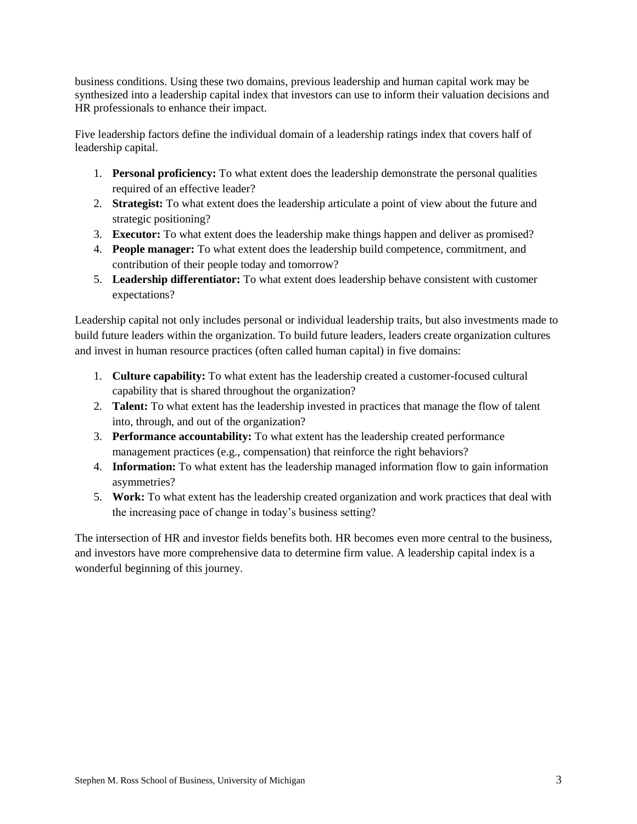business conditions. Using these two domains, previous leadership and human capital work may be synthesized into a leadership capital index that investors can use to inform their valuation decisions and HR professionals to enhance their impact.

Five leadership factors define the individual domain of a leadership ratings index that covers half of leadership capital.

- 1. **Personal proficiency:** To what extent does the leadership demonstrate the personal qualities required of an effective leader?
- 2. **Strategist:** To what extent does the leadership articulate a point of view about the future and strategic positioning?
- 3. **Executor:** To what extent does the leadership make things happen and deliver as promised?
- 4. **People manager:** To what extent does the leadership build competence, commitment, and contribution of their people today and tomorrow?
- 5. **Leadership differentiator:** To what extent does leadership behave consistent with customer expectations?

Leadership capital not only includes personal or individual leadership traits, but also investments made to build future leaders within the organization. To build future leaders, leaders create organization cultures and invest in human resource practices (often called human capital) in five domains:

- 1. **Culture capability:** To what extent has the leadership created a customer-focused cultural capability that is shared throughout the organization?
- 2. **Talent:** To what extent has the leadership invested in practices that manage the flow of talent into, through, and out of the organization?
- 3. **Performance accountability:** To what extent has the leadership created performance management practices (e.g., compensation) that reinforce the right behaviors?
- 4. **Information:** To what extent has the leadership managed information flow to gain information asymmetries?
- 5. **Work:** To what extent has the leadership created organization and work practices that deal with the increasing pace of change in today's business setting?

The intersection of HR and investor fields benefits both. HR becomes even more central to the business, and investors have more comprehensive data to determine firm value. A leadership capital index is a wonderful beginning of this journey.